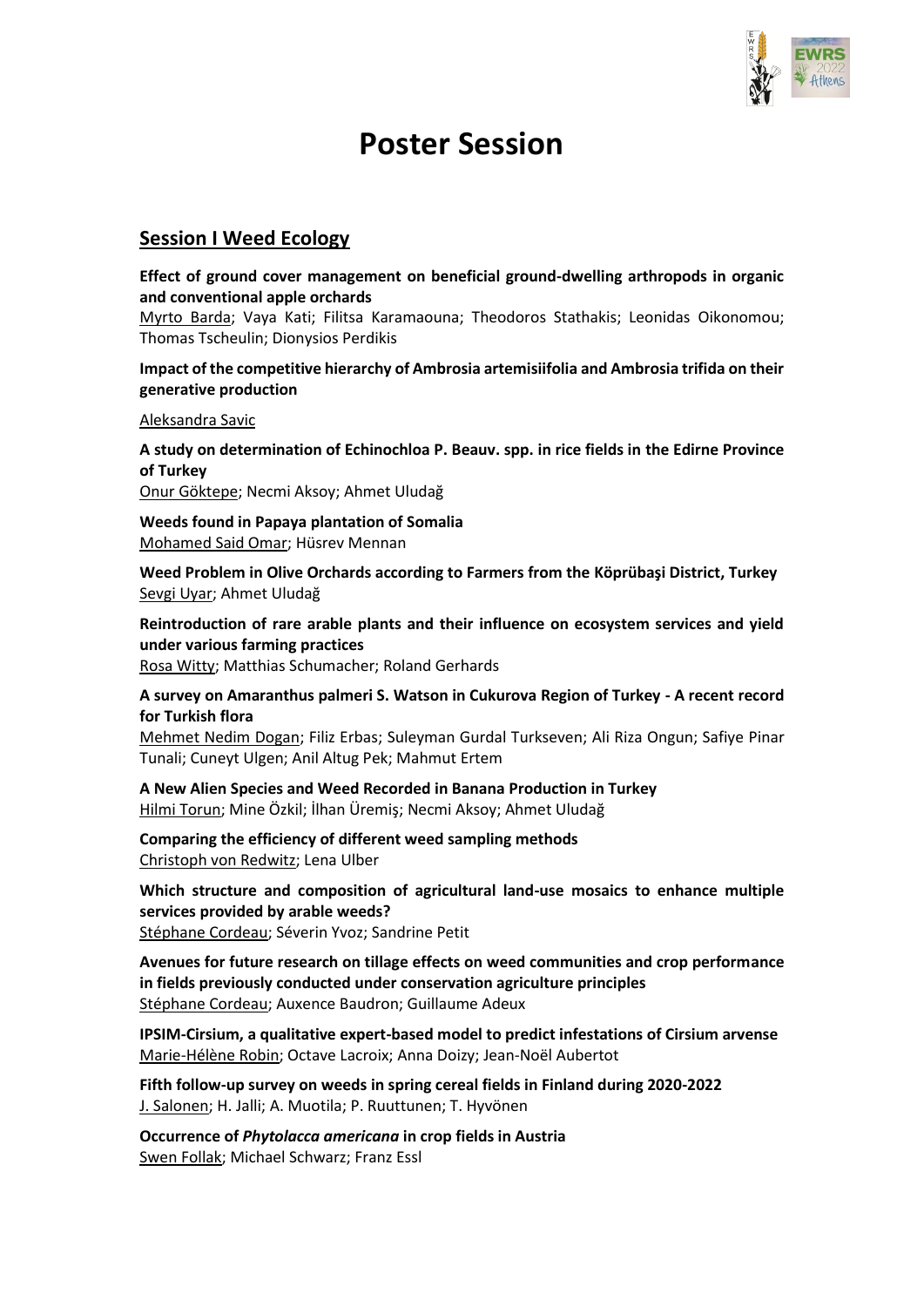

# **Poster Session**

## **Session I Weed Ecology**

**Effect of ground cover management on beneficial ground-dwelling arthropods in organic and conventional apple orchards**

Myrto Barda; Vaya Kati; Filitsa Karamaouna; Theodoros Stathakis; Leonidas Oikonomou; Thomas Tscheulin; Dionysios Perdikis

## **Impact of the competitive hierarchy of Ambrosia artemisiifolia and Ambrosia trifida on their generative production**

Aleksandra Savic

**A study on determination of Echinochloa P. Beauv. spp. in rice fields in the Edirne Province of Turkey** Onur Göktepe; Necmi Aksoy; Ahmet Uludağ

**Weeds found in Papaya plantation of Somalia** Mohamed Said Omar; Hüsrev Mennan

**Weed Problem in Olive Orchards according to Farmers from the Köprübaşi District, Turkey** Sevgi Uyar; Ahmet Uludağ

**Reintroduction of rare arable plants and their influence on ecosystem services and yield under various farming practices**

Rosa Witty; Matthias Schumacher; Roland Gerhards

**A survey on Amaranthus palmeri S. Watson in Cukurova Region of Turkey - A recent record for Turkish flora**

Mehmet Nedim Dogan; Filiz Erbas; Suleyman Gurdal Turkseven; Ali Riza Ongun; Safiye Pinar Tunali; Cuneyt Ulgen; Anil Altug Pek; Mahmut Ertem

**A New Alien Species and Weed Recorded in Banana Production in Turkey** Hilmi Torun; Mine Özkil; İlhan Üremiş; Necmi Aksoy; Ahmet Uludağ

**Comparing the efficiency of different weed sampling methods** Christoph von Redwitz; Lena Ulber

**Which structure and composition of agricultural land-use mosaics to enhance multiple services provided by arable weeds?** Stéphane Cordeau; Séverin Yvoz; Sandrine Petit

**Avenues for future research on tillage effects on weed communities and crop performance in fields previously conducted under conservation agriculture principles** Stéphane Cordeau; Auxence Baudron; Guillaume Adeux

**IPSIM-Cirsium, a qualitative expert-based model to predict infestations of Cirsium arvense** Marie-Hélène Robin; Octave Lacroix; Anna Doizy; Jean-Noël Aubertot

**Fifth follow-up survey on weeds in spring cereal fields in Finland during 2020-2022** J. Salonen; H. Jalli; A. Muotila; P. Ruuttunen; T. Hyvönen

**Occurrence of** *Phytolacca americana* **in crop fields in Austria** Swen Follak; Michael Schwarz; Franz Essl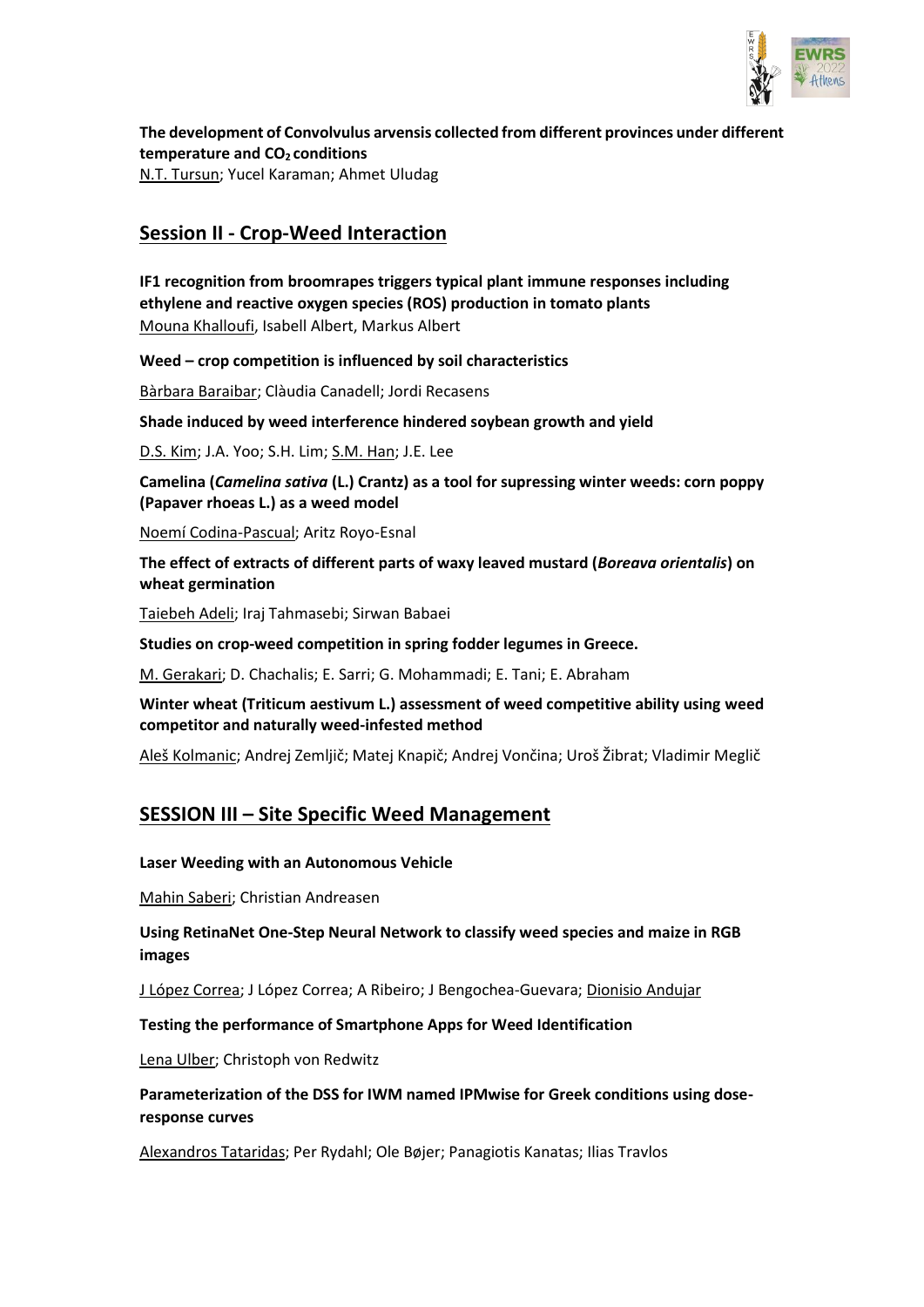

**The development of Convolvulus arvensis collected from different provinces under different temperature and CO2 conditions** N.T. Tursun; Yucel Karaman; Ahmet Uludag

## **Session II - Crop-Weed Interaction**

**IF1 recognition from broomrapes triggers typical plant immune responses including ethylene and reactive oxygen species (ROS) production in tomato plants** Mouna Khalloufi, Isabell Albert, Markus Albert

**Weed – crop competition is influenced by soil characteristics**

Bàrbara Baraibar; Clàudia Canadell; Jordi Recasens

**Shade induced by weed interference hindered soybean growth and yield**

D.S. Kim; J.A. Yoo; S.H. Lim; S.M. Han; J.E. Lee

**Camelina (***Camelina sativa* **(L.) Crantz) as a tool for supressing winter weeds: corn poppy (Papaver rhoeas L.) as a weed model**

Noemí Codina-Pascual; Aritz Royo-Esnal

**The effect of extracts of different parts of waxy leaved mustard (***Boreava orientalis***) on wheat germination**

Taiebeh Adeli; Iraj Tahmasebi; Sirwan Babaei

**Studies on crop-weed competition in spring fodder legumes in Greece.**

M. Gerakari; D. Chachalis; E. Sarri; G. Mohammadi; E. Tani; E. Abraham

**Winter wheat (Triticum aestivum L.) assessment of weed competitive ability using weed competitor and naturally weed-infested method**

Aleš Kolmanic; Andrej Zemljič; Matej Knapič; Andrej Vončina; Uroš Žibrat; Vladimir Meglič

## **SESSION III – Site Specific Weed Management**

#### **Laser Weeding with an Autonomous Vehicle**

Mahin Saberi; Christian Andreasen

**Using RetinaNet One-Step Neural Network to classify weed species and maize in RGB images**

J López Correa; J López Correa; A Ribeiro; J Bengochea-Guevara; Dionisio Andujar

**Testing the performance of Smartphone Apps for Weed Identification**

Lena Ulber; Christoph von Redwitz

**Parameterization of the DSS for IWM named IPMwise for Greek conditions using doseresponse curves**

Alexandros Tataridas; Per Rydahl; Ole Bøjer; Panagiotis Kanatas; Ilias Travlos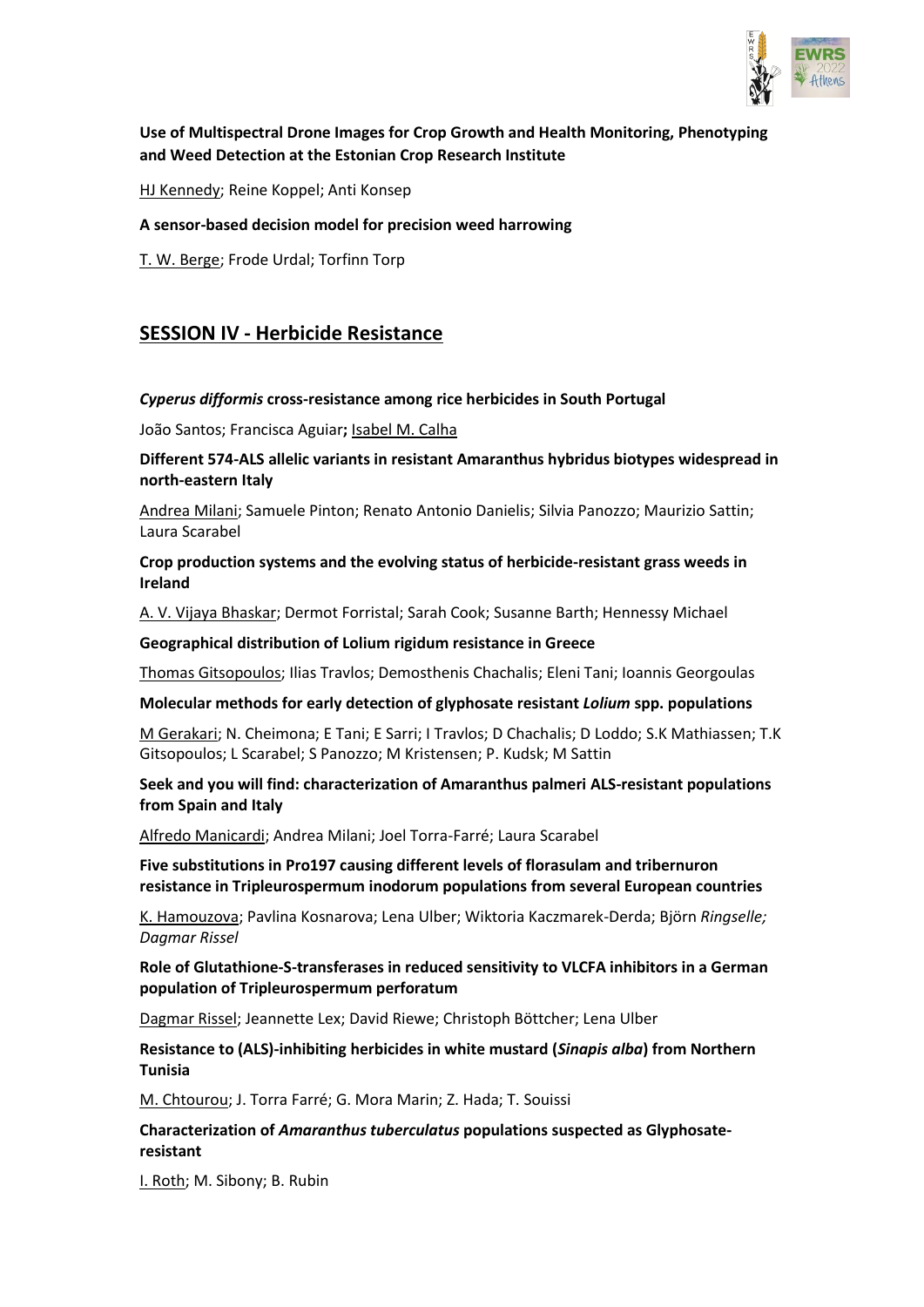

## **Use of Multispectral Drone Images for Crop Growth and Health Monitoring, Phenotyping and Weed Detection at the Estonian Crop Research Institute**

HJ Kennedy; Reine Koppel; Anti Konsep

#### **A sensor-based decision model for precision weed harrowing**

T. W. Berge; Frode Urdal; Torfinn Torp

# **SESSION IV - Herbicide Resistance**

#### *Cyperus difformis* **cross-resistance among rice herbicides in South Portugal**

João Santos; Francisca Aguiar**;** Isabel M. Calha

**Different 574-ALS allelic variants in resistant Amaranthus hybridus biotypes widespread in north-eastern Italy**

Andrea Milani; Samuele Pinton; Renato Antonio Danielis; Silvia Panozzo; Maurizio Sattin; Laura Scarabel

## **Crop production systems and the evolving status of herbicide-resistant grass weeds in Ireland**

A. V. Vijaya Bhaskar; Dermot Forristal; Sarah Cook; Susanne Barth; Hennessy Michael

#### **Geographical distribution of Lolium rigidum resistance in Greece**

Thomas Gitsopoulos; Ilias Travlos; Demosthenis Chachalis; Eleni Tani; Ioannis Georgoulas

#### **Molecular methods for early detection of glyphosate resistant** *Lolium* **spp. populations**

M Gerakari; N. Cheimona; E Tani; E Sarri; I Travlos; D Chachalis; D Loddo; S.K Mathiassen; T.K Gitsopoulos; L Scarabel; S Panozzo; M Kristensen; P. Kudsk; M Sattin

## **Seek and you will find: characterization of Amaranthus palmeri ALS-resistant populations from Spain and Italy**

Alfredo Manicardi; Andrea Milani; Joel Torra-Farré; Laura Scarabel

## **Five substitutions in Pro197 causing different levels of florasulam and tribernuron resistance in Tripleurospermum inodorum populations from several European countries**

K. Hamouzova; Pavlina Kosnarova; Lena Ulber; Wiktoria Kaczmarek-Derda; Björn *Ringselle; Dagmar Rissel*

## **Role of Glutathione-S-transferases in reduced sensitivity to VLCFA inhibitors in a German population of Tripleurospermum perforatum**

Dagmar Rissel; Jeannette Lex; David Riewe; Christoph Böttcher; Lena Ulber

## **Resistance to (ALS)-inhibiting herbicides in white mustard (***Sinapis alba***) from Northern Tunisia**

M. Chtourou; J. Torra Farré; G. Mora Marin; Z. Hada; T. Souissi

**Characterization of** *Amaranthus tuberculatus* **populations suspected as Glyphosateresistant**

I. Roth; M. Sibony; B. Rubin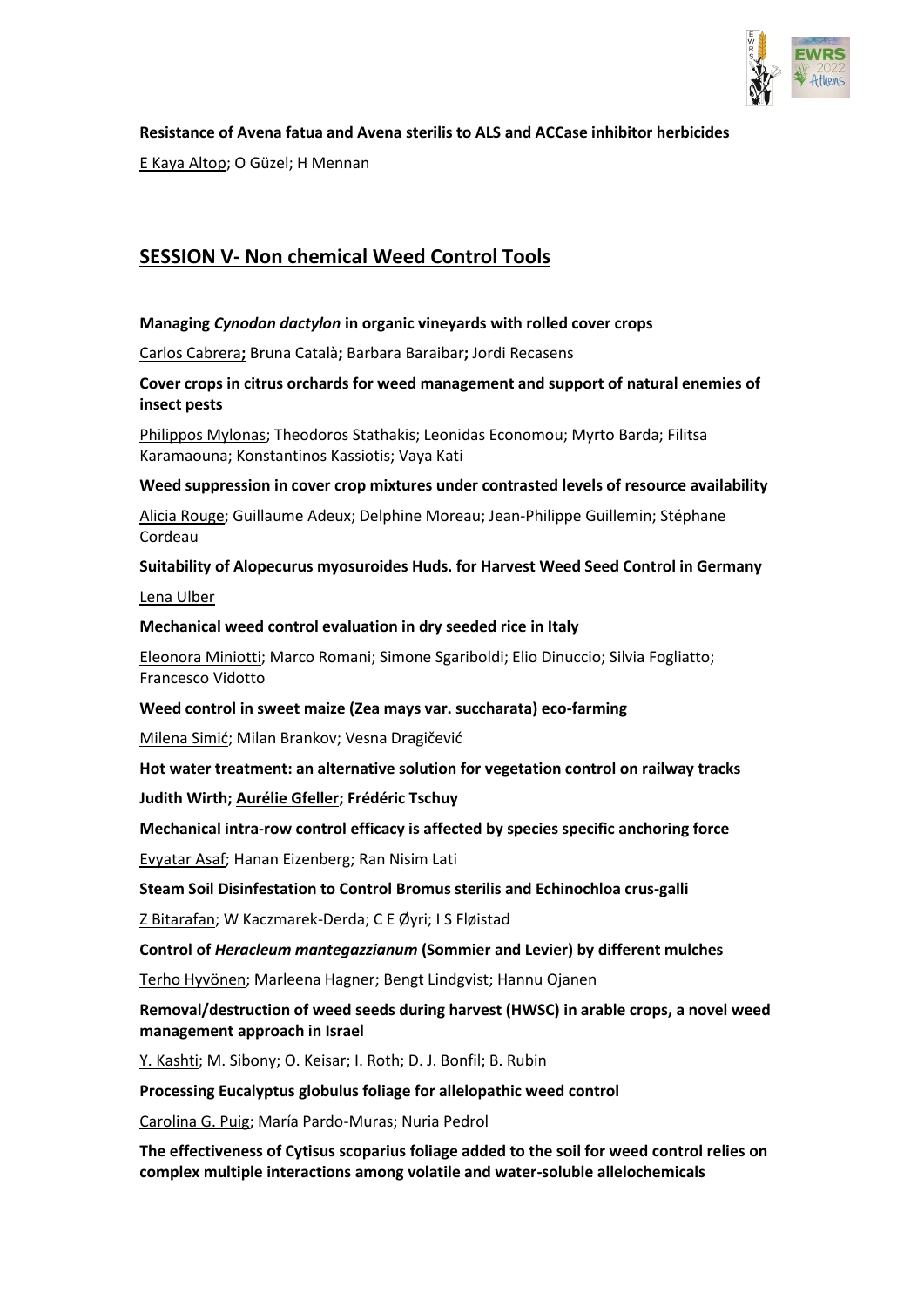

## **Resistance of Avena fatua and Avena sterilis to ALS and ACCase inhibitor herbicides**

E Kaya Altop; O Güzel; H Mennan

# **SESSION V- Non chemical Weed Control Tools**

## **Managing** *Cynodon dactylon* **in organic vineyards with rolled cover crops**

Carlos Cabrera**;** Bruna Català**;** Barbara Baraibar**;** Jordi Recasens

## **Cover crops in citrus orchards for weed management and support of natural enemies of insect pests**

Philippos Mylonas; Theodoros Stathakis; Leonidas Economou; Myrto Barda; Filitsa Karamaouna; Konstantinos Kassiotis; Vaya Kati

#### **Weed suppression in cover crop mixtures under contrasted levels of resource availability**

Alicia Rouge; Guillaume Adeux; Delphine Moreau; Jean-Philippe Guillemin; Stéphane Cordeau

## **Suitability of Alopecurus myosuroides Huds. for Harvest Weed Seed Control in Germany**

Lena Ulber

## **Mechanical weed control evaluation in dry seeded rice in Italy**

Eleonora Miniotti; Marco Romani; Simone Sgariboldi; Elio Dinuccio; Silvia Fogliatto; Francesco Vidotto

## **Weed control in sweet maize (Zea mays var. succharata) eco-farming**

Milena Simić; Milan Brankov; Vesna Dragičević

## **Hot water treatment: an alternative solution for vegetation control on railway tracks**

**Judith Wirth; Aurélie Gfeller; Frédéric Tschuy**

## **Mechanical intra-row control efficacy is affected by species specific anchoring force**

Evyatar Asaf; Hanan Eizenberg; Ran Nisim Lati

## **Steam Soil Disinfestation to Control Bromus sterilis and Echinochloa crus-galli**

Z Bitarafan; W Kaczmarek-Derda; C E Øyri; I S Fløistad

**Control of** *Heracleum mantegazzianum* **(Sommier and Levier) by different mulches**

Terho Hyvönen; Marleena Hagner; Bengt Lindgvist; Hannu Ojanen

## **Removal/destruction of weed seeds during harvest (HWSC) in arable crops, a novel weed management approach in Israel**

Y. Kashti; M. Sibony; O. Keisar; I. Roth; D. J. Bonfil; B. Rubin

## **Processing Eucalyptus globulus foliage for allelopathic weed control**

Carolina G. Puig; María Pardo-Muras; Nuria Pedrol

**The effectiveness of Cytisus scoparius foliage added to the soil for weed control relies on complex multiple interactions among volatile and water-soluble allelochemicals**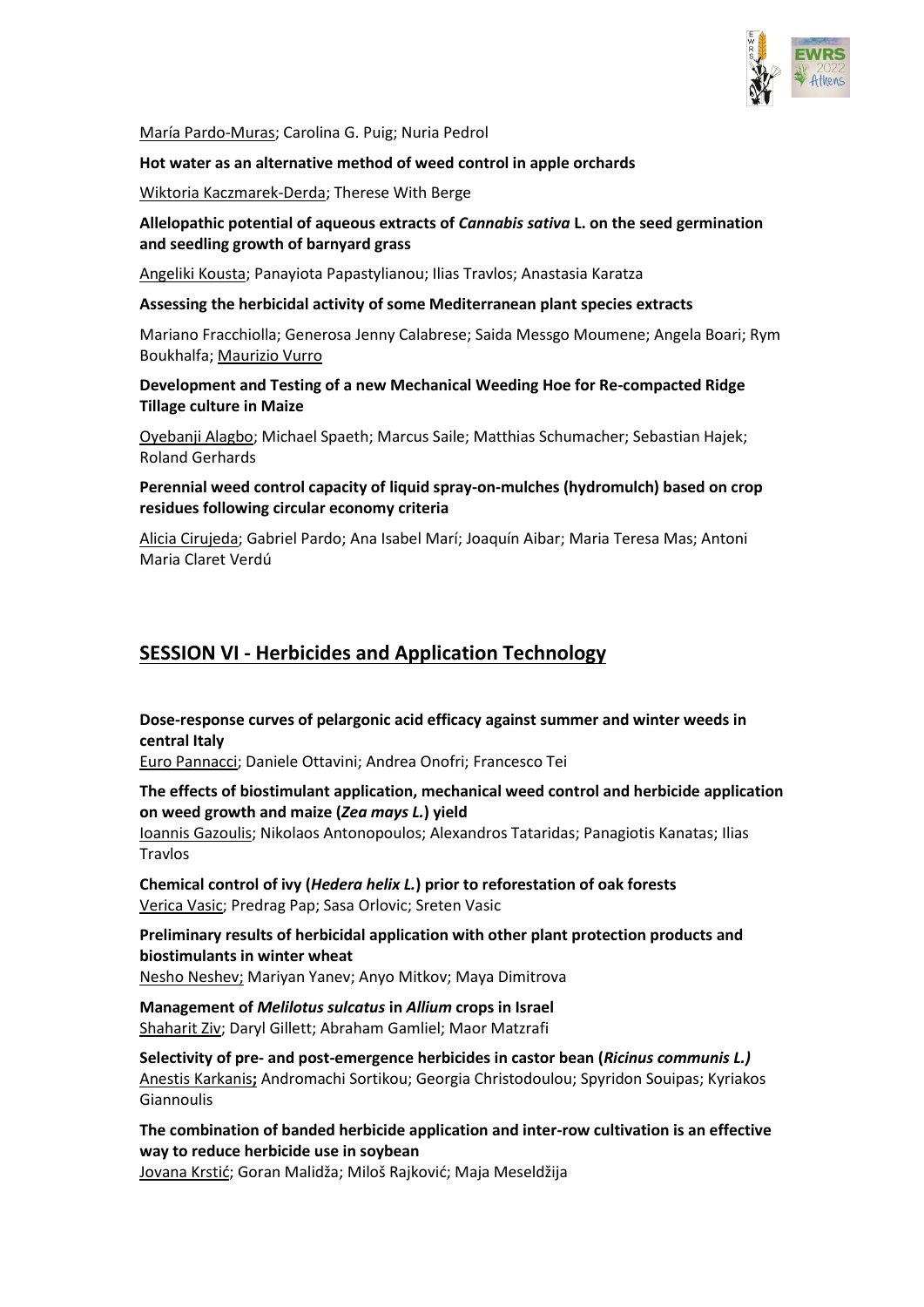

María Pardo-Muras; Carolina G. Puig; Nuria Pedrol

#### **Hot water as an alternative method of weed control in apple orchards**

Wiktoria Kaczmarek-Derda; Therese With Berge

## **Allelopathic potential of aqueous extracts of** *Cannabis sativa* **L. on the seed germination and seedling growth of barnyard grass**

Angeliki Kousta; Panayiota Papastylianou; Ilias Travlos; Anastasia Karatza

#### **Assessing the herbicidal activity of some Mediterranean plant species extracts**

Mariano Fracchiolla; Generosa Jenny Calabrese; Saida Messgo Moumene; Angela Boari; Rym Boukhalfa; Maurizio Vurro

**Development and Testing of a new Mechanical Weeding Hoe for Re-compacted Ridge Tillage culture in Maize**

Oyebanji Alagbo; Michael Spaeth; Marcus Saile; Matthias Schumacher; Sebastian Hajek; Roland Gerhards

**Perennial weed control capacity of liquid spray-on-mulches (hydromulch) based on crop residues following circular economy criteria**

Alicia Cirujeda; Gabriel Pardo; Ana Isabel Marí; Joaquín Aibar; Maria Teresa Mas; Antoni Maria Claret Verdú

# **SESSION VI - Herbicides and Application Technology**

**Dose-response curves of pelargonic acid efficacy against summer and winter weeds in central Italy**

Euro Pannacci; Daniele Ottavini; Andrea Onofri; Francesco Tei

**The effects of biostimulant application, mechanical weed control and herbicide application on weed growth and maize (***Zea mays L.***) yield**

Ioannis Gazoulis; Nikolaos Antonopoulos; Alexandros Tataridas; Panagiotis Kanatas; Ilias Travlos

**Chemical control of ivy (***Hedera helix L.***) prior to reforestation of oak forests** Verica Vasic; Predrag Pap; Sasa Orlovic; Sreten Vasic

**Preliminary results of herbicidal application with other plant protection products and biostimulants in winter wheat**

Nesho Neshev; Mariyan Yanev; Anyo Mitkov; Maya Dimitrova

**Management of** *Melilotus sulcatus* **in** *Allium* **crops in Israel** Shaharit Ziv; Daryl Gillett; Abraham Gamliel; Maor Matzrafi

**Selectivity of pre- and post-emergence herbicides in castor bean (***Ricinus communis L.)* Anestis Karkanis**;** Andromachi Sortikou; Georgia Christodoulou; Spyridon Souipas; Kyriakos Giannoulis

**The combination of banded herbicide application and inter-row cultivation is an effective way to reduce herbicide use in soybean**

Jovana Krstić; Goran Malidža; Miloš Rajković; Maja Meseldžija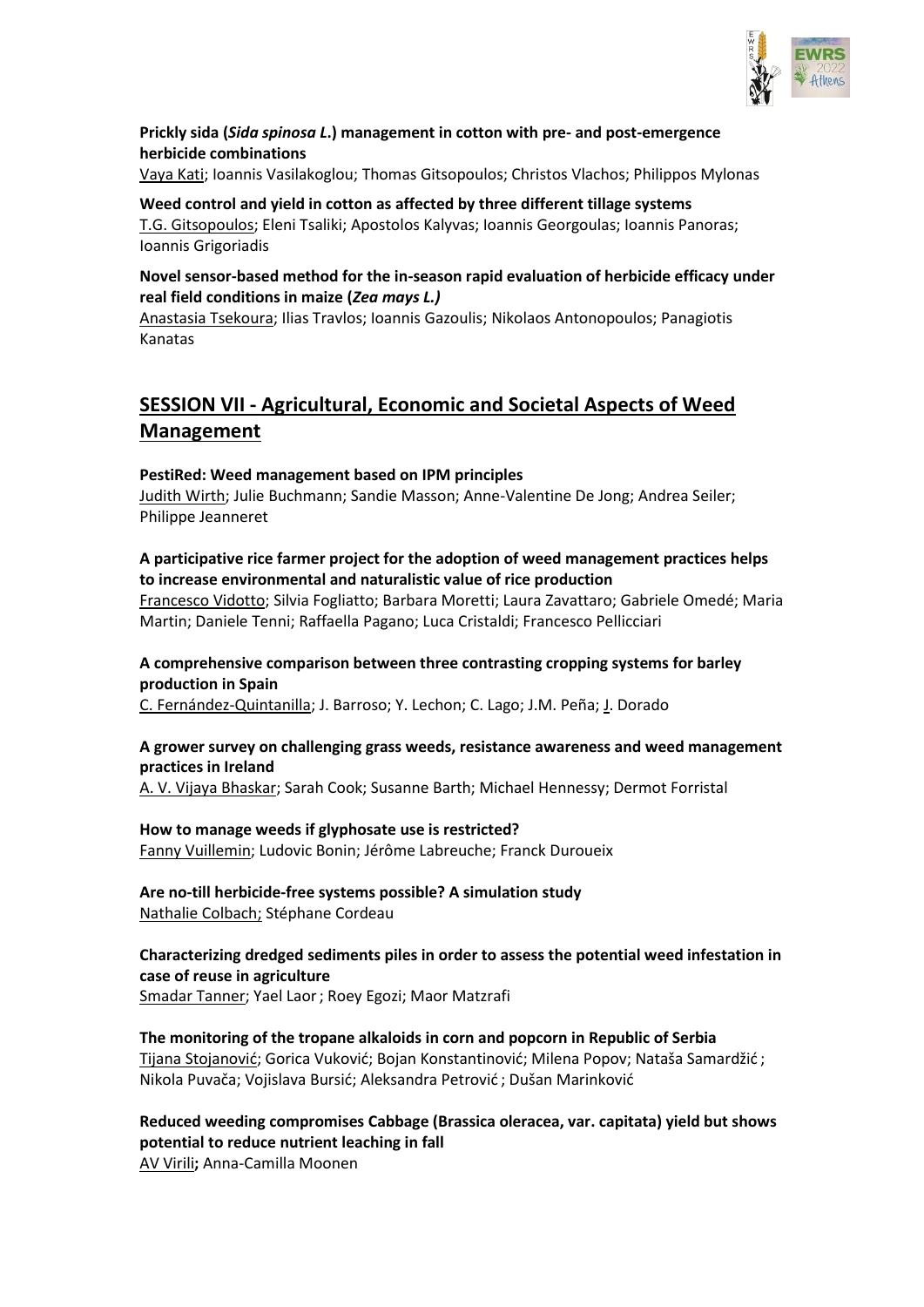

## **Prickly sida (***Sida spinosa L***.) management in cotton with pre- and post-emergence herbicide combinations**

Vaya Kati; Ioannis Vasilakoglou; Thomas Gitsopoulos; Christos Vlachos; Philippos Mylonas

## **Weed control and yield in cotton as affected by three different tillage systems**

T.G. Gitsopoulos; Eleni Tsaliki; Apostolos Kalyvas; Ioannis Georgoulas; Ioannis Panoras; Ioannis Grigoriadis

## **Novel sensor-based method for the in-season rapid evaluation of herbicide efficacy under real field conditions in maize (***Zea mays L.)*

Anastasia Tsekoura; Ilias Travlos; Ioannis Gazoulis; Nikolaos Antonopoulos; Panagiotis Kanatas

# **SESSION VII - Agricultural, Economic and Societal Aspects of Weed Management**

## **PestiRed: Weed management based on IPM principles**

Judith Wirth; Julie Buchmann; Sandie Masson; Anne-Valentine De Jong; Andrea Seiler; Philippe Jeanneret

## **A participative rice farmer project for the adoption of weed management practices helps to increase environmental and naturalistic value of rice production**

Francesco Vidotto; Silvia Fogliatto; Barbara Moretti; Laura Zavattaro; Gabriele Omedé; Maria Martin; Daniele Tenni; Raffaella Pagano; Luca Cristaldi; Francesco Pellicciari

## **A comprehensive comparison between three contrasting cropping systems for barley production in Spain**

C. Fernández-Quintanilla; J. Barroso; Y. Lechon; C. Lago; J.M. Peña; J. Dorado

## **A grower survey on challenging grass weeds, resistance awareness and weed management practices in Ireland**

A. V. Vijaya Bhaskar; Sarah Cook; Susanne Barth; Michael Hennessy; Dermot Forristal

## **How to manage weeds if glyphosate use is restricted?**

Fanny Vuillemin; Ludovic Bonin; Jérôme Labreuche; Franck Duroueix

# **Are no-till herbicide-free systems possible? A simulation study**

Nathalie Colbach; Stéphane Cordeau

## **Characterizing dredged sediments piles in order to assess the potential weed infestation in case of reuse in agriculture**

Smadar Tanner; Yael Laor; Roey Egozi; Maor Matzrafi

## **The monitoring of the tropane alkaloids in corn and popcorn in Republic of Serbia**

Tijana Stojanović; Gorica Vuković; Bojan Konstantinović; Milena Popov; Nataša Samardžić ; Nikola Puvača; Vojislava Bursić; Aleksandra Petrović ; Dušan Marinković

**Reduced weeding compromises Cabbage (Brassica oleracea, var. capitata) yield but shows potential to reduce nutrient leaching in fall**

AV Virili**;** Anna-Camilla Moonen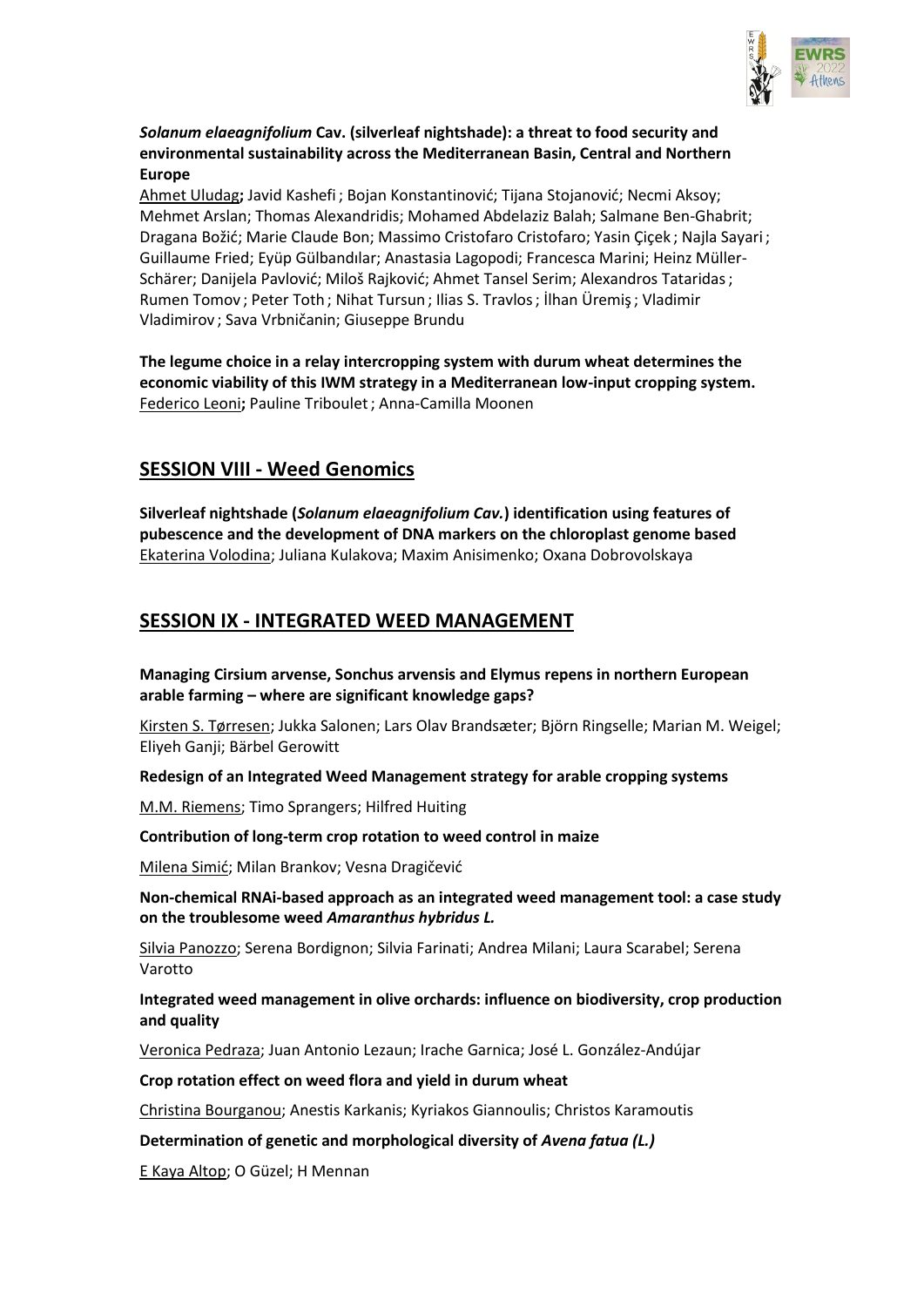

## *Solanum elaeagnifolium* **Cav. (silverleaf nightshade): a threat to food security and environmental sustainability across the Mediterranean Basin, Central and Northern Europe**

Ahmet Uludag**;** Javid Kashefi ; Bojan Konstantinović; Tijana Stojanović; Necmi Aksoy; Mehmet Arslan; Thomas Alexandridis; Mohamed Abdelaziz Balah; Salmane Ben-Ghabrit; Dragana Božić; Marie Claude Bon; Massimo Cristofaro Cristofaro; Yasin Çiçek ; Najla Sayari ; Guillaume Fried; Eyüp Gülbandılar; Anastasia Lagopodi; Francesca Marini; Heinz Müller-Schärer; Danijela Pavlović; Miloš Rajković; Ahmet Tansel Serim; Alexandros Tataridas; Rumen Tomov ; Peter Toth ; Nihat Tursun ; Ilias S. Travlos; İlhan Üremiş; Vladimir Vladimirov ; Sava Vrbničanin; Giuseppe Brundu

**The legume choice in a relay intercropping system with durum wheat determines the economic viability of this IWM strategy in a Mediterranean low-input cropping system.** Federico Leoni**;** Pauline Triboulet; Anna-Camilla Moonen

# **SESSION VIII - Weed Genomics**

**Silverleaf nightshade (***Solanum elaeagnifolium Cav.***) identification using features of pubescence and the development of DNA markers on the chloroplast genome based** Ekaterina Volodina; Juliana Kulakova; Maxim Anisimenko; Oxana Dobrovolskaya

# **SESSION IX - INTEGRATED WEED MANAGEMENT**

## **Managing Cirsium arvense, Sonchus arvensis and Elymus repens in northern European arable farming – where are significant knowledge gaps?**

Kirsten S. Tørresen; Jukka Salonen; Lars Olav Brandsæter; Björn Ringselle; Marian M. Weigel; Eliyeh Ganji; Bärbel Gerowitt

## **Redesign of an Integrated Weed Management strategy for arable cropping systems**

M.M. Riemens; Timo Sprangers; Hilfred Huiting

## **Contribution of long-term crop rotation to weed control in maize**

Milena Simić; Milan Brankov; Vesna Dragičević

**Non-chemical RNAi-based approach as an integrated weed management tool: a case study on the troublesome weed** *Amaranthus hybridus L.*

Silvia Panozzo; Serena Bordignon; Silvia Farinati; Andrea Milani; Laura Scarabel; Serena Varotto

## **Integrated weed management in olive orchards: influence on biodiversity, crop production and quality**

Veronica Pedraza; Juan Antonio Lezaun; Irache Garnica; José L. González-Andújar

## **Crop rotation effect on weed flora and yield in durum wheat**

Christina Bourganou; Anestis Karkanis; Kyriakos Giannoulis; Christos Karamoutis

## **Determination of genetic and morphological diversity of** *Avena fatua (L.)*

E Kaya Altop; O Güzel; H Mennan